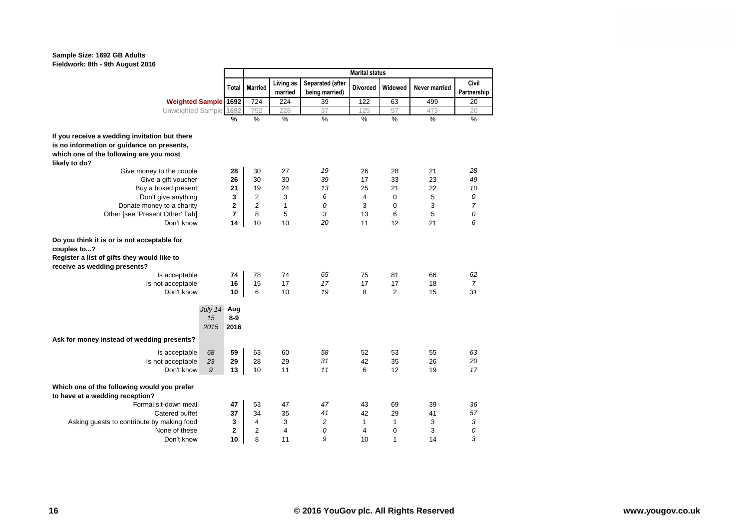## **Sample Size: 1692 GB Adults Fieldwork: 8th - 9th August 2016**

|                                                                                                                                           |                               | <b>Marital status</b> |                      |                                    |                 |                |                      |                      |  |  |  |
|-------------------------------------------------------------------------------------------------------------------------------------------|-------------------------------|-----------------------|----------------------|------------------------------------|-----------------|----------------|----------------------|----------------------|--|--|--|
|                                                                                                                                           | <b>Total</b>                  | <b>Married</b>        | Living as<br>married | Separated (after<br>being married) | <b>Divorced</b> | Widowed        | <b>Never married</b> | Civil<br>Partnership |  |  |  |
| <b>Weighted Sample 1692</b>                                                                                                               |                               | 724                   | 224                  | 39                                 | 122             | 63             | 499                  | 20                   |  |  |  |
| Unweighted Sample 1692                                                                                                                    |                               | 752                   | 228                  | 37                                 | 125             | 57             | 473                  | 20                   |  |  |  |
|                                                                                                                                           | %                             | $\frac{9}{6}$         | $\frac{9}{6}$        | %                                  | $\frac{0}{6}$   | $\frac{9}{6}$  | $\frac{9}{6}$        | $\frac{9}{6}$        |  |  |  |
| If you receive a wedding invitation but there                                                                                             |                               |                       |                      |                                    |                 |                |                      |                      |  |  |  |
| is no information or guidance on presents,                                                                                                |                               |                       |                      |                                    |                 |                |                      |                      |  |  |  |
| which one of the following are you most                                                                                                   |                               |                       |                      |                                    |                 |                |                      |                      |  |  |  |
| likely to do?                                                                                                                             |                               |                       |                      |                                    |                 |                |                      |                      |  |  |  |
| Give money to the couple                                                                                                                  | 28                            | 30                    | 27                   | 19                                 | 26              | 28             | 21                   | 28                   |  |  |  |
| Give a gift voucher                                                                                                                       | 26                            | 30                    | 30                   | 39                                 | 17              | 33             | 23                   | 49                   |  |  |  |
| Buy a boxed present                                                                                                                       | 21                            | 19                    | 24                   | 13                                 | 25              | 21             | 22                   | 10                   |  |  |  |
| Don't give anything                                                                                                                       | 3                             | $\overline{2}$        | 3                    | 6                                  | 4               | $\mathbf 0$    | 5                    | 0                    |  |  |  |
| Donate money to a charity                                                                                                                 | $\mathbf{2}$                  | $\overline{2}$        | $\mathbf{1}$         | 0                                  | 3               | $\mathbf 0$    | 3                    | $\overline{7}$       |  |  |  |
| Other [see 'Present Other' Tab]                                                                                                           | 7                             | 8                     | 5                    | 3                                  | 13              | 6              | 5                    | 0                    |  |  |  |
| Don't know                                                                                                                                | 14                            | 10                    | 10                   | 20                                 | 11              | 12             | 21                   | 6                    |  |  |  |
| Do you think it is or is not acceptable for<br>couples to?<br>Register a list of gifts they would like to<br>receive as wedding presents? |                               |                       |                      |                                    |                 |                |                      |                      |  |  |  |
| Is acceptable                                                                                                                             | 74                            | 78                    | 74                   | 65                                 | 75              | 81             | 66                   | 62                   |  |  |  |
| Is not acceptable                                                                                                                         | 16                            | 15                    | 17                   | 17                                 | 17              | 17             | 18                   | $\overline{7}$       |  |  |  |
| Don't know                                                                                                                                | 10                            | 6                     | 10                   | 19                                 | 8               | $\overline{2}$ | 15                   | 31                   |  |  |  |
| 15<br>2015                                                                                                                                | July 14- Aug<br>$8-9$<br>2016 |                       |                      |                                    |                 |                |                      |                      |  |  |  |
| Ask for money instead of wedding presents?                                                                                                |                               |                       |                      |                                    |                 |                |                      |                      |  |  |  |
| 68<br>Is acceptable                                                                                                                       | 59                            | 63                    | 60                   | 58                                 | 52              | 53             | 55                   | 63                   |  |  |  |
| 23<br>Is not acceptable                                                                                                                   | 29                            | 28                    | 29                   | 31                                 | 42              | 35             | 26                   | 20                   |  |  |  |
| 9<br>Don't know                                                                                                                           | 13                            | 10                    | 11                   | 11                                 | 6               | 12             | 19                   | 17                   |  |  |  |
| Which one of the following would you prefer<br>to have at a wedding reception?                                                            |                               |                       |                      |                                    |                 |                |                      |                      |  |  |  |
| Formal sit-down meal                                                                                                                      | 47                            | 53                    | 47                   | 47                                 | 43              | 69             | 39                   | 36                   |  |  |  |
| Catered buffet                                                                                                                            | 37                            | 34                    | 35                   | 41                                 | 42              | 29             | 41                   | 57                   |  |  |  |
| Asking guests to contribute by making food                                                                                                | 3                             | $\overline{4}$        | 3                    | $\overline{c}$                     | $\mathbf{1}$    | 1              | 3                    | 3                    |  |  |  |
| None of these                                                                                                                             | $\mathbf{2}$                  | $\overline{2}$        | $\overline{4}$       | 0                                  | 4               | $\mathbf 0$    | 3                    | 0                    |  |  |  |
| Don't know                                                                                                                                | 10                            | 8                     | 11                   | 9                                  | 10              | 1              | 14                   | 3                    |  |  |  |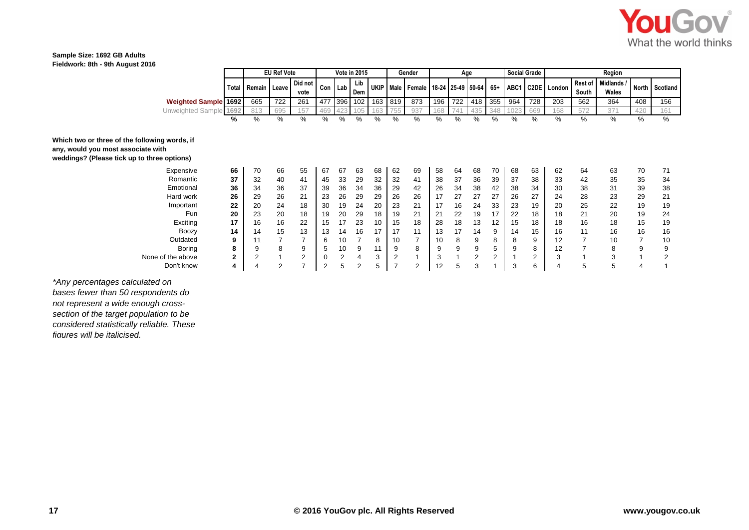

## **Sample Size: 1692 GB Adults Fieldwork: 8th - 9th August 2016**

|                                                                                                                                    |              | <b>EU Ref Vote</b> |     | <b>Vote in 2015</b> |         |     |            | Gender | Age            |                                              |     |     | <b>Social Grade</b> |                | Region |     |             |                  |                     |              |          |
|------------------------------------------------------------------------------------------------------------------------------------|--------------|--------------------|-----|---------------------|---------|-----|------------|--------|----------------|----------------------------------------------|-----|-----|---------------------|----------------|--------|-----|-------------|------------------|---------------------|--------------|----------|
|                                                                                                                                    | Total        | Remain   Leave     |     | Did not<br>vote     | Con Lab |     | Lib<br>Dem |        |                | UKIP   Male   Female   18-24   25-49   50-64 |     |     |                     | $65+$          | ABC1   |     | C2DE London | Rest of<br>South | Midlands /<br>Wales | <b>North</b> | Scotland |
| <b>Weighted Sample 1692</b>                                                                                                        |              | 665                | 722 | 261                 | 477     | 396 | 102        |        | 163 819        | 873                                          | 196 | 722 | 418                 | 355            | 964    | 728 | 203         | 562              | 364                 | 408          | 156      |
| Unweighted Sample 1692                                                                                                             |              | 813                | 695 | 157                 | 469     |     |            | 163    | '55            | 937                                          | 168 | 741 | 435                 | 348            | 1023   | 669 | 168         | 572              | 371                 | 420          | 161      |
|                                                                                                                                    | %            | %                  | %   | %                   | %       | %   | %          | %      | %              | %                                            | %   | %   | %                   | %              | %      | %   | %           | %                | %                   | %            | %        |
| Which two or three of the following words, if<br>any, would you most associate with<br>weddings? (Please tick up to three options) |              |                    |     |                     |         |     |            |        |                |                                              |     |     |                     |                |        |     |             |                  |                     |              |          |
| Expensive                                                                                                                          | 66           | 70                 | 66  | 55                  | 67      | 67  | 63         | 68     | 62             | 69                                           | 58  | 64  | 68                  | 70             | 68     | 63  | 62          | 64               | 63                  | 70           | 71       |
| Romantic                                                                                                                           | 37           | 32                 | 40  | 41                  | 45      | 33  | 29         | 32     | 32             | 41                                           | 38  | 37  | 36                  | 39             | 37     | 38  | 33          | 42               | 35                  | 35           | 34       |
| Emotional                                                                                                                          | 36           | 34                 | 36  | 37                  | 39      | 36  | 34         | 36     | 29             | 42                                           | 26  | 34  | 38                  | 42             | 38     | 34  | 30          | 38               | 31                  | 39           | 38       |
| Hard work                                                                                                                          | 26           | 29                 | 26  | 21                  | 23      | 26  | 29         | 29     | 26             | 26                                           | 17  | 27  | 27                  | 27             | 26     | 27  | 24          | 28               | 23                  | 29           | 21       |
| Important                                                                                                                          | 22           | 20                 | 24  | 18                  | 30      | 19  | 24         | 20     | 23             | 21                                           | 17  | 16  | 24                  | 33             | 23     | 19  | 20          | 25               | 22                  | 19           | 19       |
| Fun                                                                                                                                | 20           | 23                 | 20  | 18                  | 19      | 20  | 29         | 18     | 19             | 21                                           | 21  | 22  | 19                  | 17             | 22     | 18  | 18          | 21               | 20                  | 19           | 24       |
| Exciting                                                                                                                           | 17           | 16                 | 16  | 22                  | 15      | 17  | 23         | 10     | 15             | 18                                           | 28  | 18  | 13                  | 12             | 15     | 18  | 18          | 16               | 18                  | 15           | 19       |
| <b>Boozy</b>                                                                                                                       | 14           | 14                 | 15  | 13                  | 13      | 14  | 16         | 17     | 17             | 11                                           | 13  | 17  | 14                  | 9              | 14     | 15  | 16          | 11               | 16                  | 16           | 16       |
| Outdated                                                                                                                           | 9            | 11                 |     | $\overline{7}$      | 6       | 10  |            | 8      | 10             | ⇁                                            | 10  | 8   | 9                   | 8              | 8      | 9   | 12          | 7                | 10                  | 7            | 10       |
| Boring                                                                                                                             | 8            | 9                  | 8   | 9                   | 5       | 10  | 9          | 11     | 9              | 8                                            | 9   | 9   |                     | 5              |        | 8   | 12          | 7                | 8                   | 9            | 9        |
| None of the above                                                                                                                  | $\mathbf{2}$ | $\overline{2}$     |     | $\overline{2}$      |         | 2   | 4          | 3      | $\overline{2}$ |                                              | 3   |     | 2                   | $\overline{2}$ |        | 2   | 3           |                  | 3                   |              |          |
| Don't know                                                                                                                         |              | 4                  | 2   | $\overline{ }$      | 2       | 5   | 2          | 5      | <u>т</u>       | $\overline{2}$                               | 12  | 5   | 3                   |                | 3      | 6   |             | 5                | 5                   | 4            |          |

*\*Any percentages calculated on bases fewer than 50 respondents do not represent a wide enough crosssection of the target population to be considered statistically reliable. These figures will be italicised.*